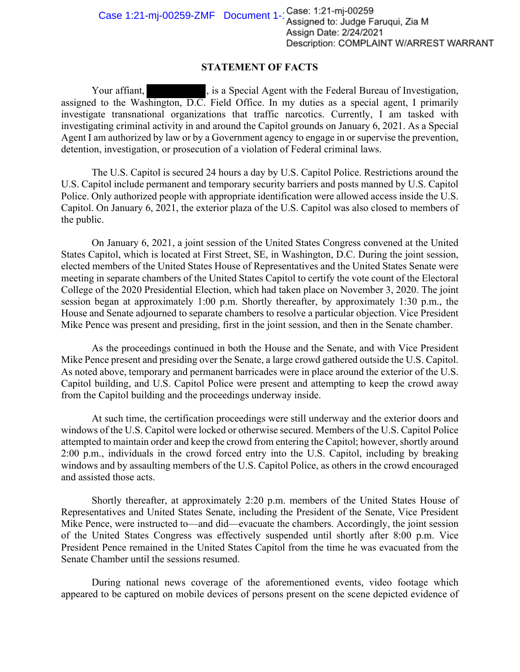## **STATEMENT OF FACTS**

Your affiant,  $\qquad \qquad$ , is a Special Agent with the Federal Bureau of Investigation, assigned to the Washington, D.C. Field Office. In my duties as a special agent, I primarily investigate transnational organizations that traffic narcotics. Currently, I am tasked with investigating criminal activity in and around the Capitol grounds on January 6, 2021. As a Special Agent I am authorized by law or by a Government agency to engage in or supervise the prevention, detention, investigation, or prosecution of a violation of Federal criminal laws.

The U.S. Capitol is secured 24 hours a day by U.S. Capitol Police. Restrictions around the U.S. Capitol include permanent and temporary security barriers and posts manned by U.S. Capitol Police. Only authorized people with appropriate identification were allowed access inside the U.S. Capitol. On January 6, 2021, the exterior plaza of the U.S. Capitol was also closed to members of the public.

On January 6, 2021, a joint session of the United States Congress convened at the United States Capitol, which is located at First Street, SE, in Washington, D.C. During the joint session, elected members of the United States House of Representatives and the United States Senate were meeting in separate chambers of the United States Capitol to certify the vote count of the Electoral College of the 2020 Presidential Election, which had taken place on November 3, 2020. The joint session began at approximately 1:00 p.m. Shortly thereafter, by approximately 1:30 p.m., the House and Senate adjourned to separate chambers to resolve a particular objection. Vice President Mike Pence was present and presiding, first in the joint session, and then in the Senate chamber.

As the proceedings continued in both the House and the Senate, and with Vice President Mike Pence present and presiding over the Senate, a large crowd gathered outside the U.S. Capitol. As noted above, temporary and permanent barricades were in place around the exterior of the U.S. Capitol building, and U.S. Capitol Police were present and attempting to keep the crowd away from the Capitol building and the proceedings underway inside.

At such time, the certification proceedings were still underway and the exterior doors and windows of the U.S. Capitol were locked or otherwise secured. Members of the U.S. Capitol Police attempted to maintain order and keep the crowd from entering the Capitol; however, shortly around 2:00 p.m., individuals in the crowd forced entry into the U.S. Capitol, including by breaking windows and by assaulting members of the U.S. Capitol Police, as others in the crowd encouraged and assisted those acts.

Shortly thereafter, at approximately 2:20 p.m. members of the United States House of Representatives and United States Senate, including the President of the Senate, Vice President Mike Pence, were instructed to—and did—evacuate the chambers. Accordingly, the joint session of the United States Congress was effectively suspended until shortly after 8:00 p.m. Vice President Pence remained in the United States Capitol from the time he was evacuated from the Senate Chamber until the sessions resumed.

During national news coverage of the aforementioned events, video footage which appeared to be captured on mobile devices of persons present on the scene depicted evidence of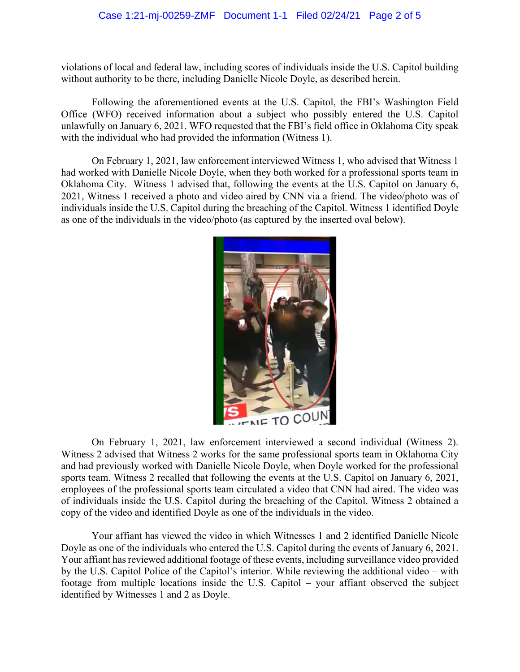## Case 1:21-mj-00259-ZMF Document 1-1 Filed 02/24/21 Page 2 of 5

violations of local and federal law, including scores of individuals inside the U.S. Capitol building without authority to be there, including Danielle Nicole Doyle, as described herein.

Following the aforementioned events at the U.S. Capitol, the FBI's Washington Field Office (WFO) received information about a subject who possibly entered the U.S. Capitol unlawfully on January 6, 2021. WFO requested that the FBI's field office in Oklahoma City speak with the individual who had provided the information (Witness 1).

On February 1, 2021, law enforcement interviewed Witness 1, who advised that Witness 1 had worked with Danielle Nicole Doyle, when they both worked for a professional sports team in Oklahoma City. Witness 1 advised that, following the events at the U.S. Capitol on January 6, 2021, Witness 1 received a photo and video aired by CNN via a friend. The video/photo was of individuals inside the U.S. Capitol during the breaching of the Capitol. Witness 1 identified Doyle as one of the individuals in the video/photo (as captured by the inserted oval below).



On February 1, 2021, law enforcement interviewed a second individual (Witness 2). Witness 2 advised that Witness 2 works for the same professional sports team in Oklahoma City and had previously worked with Danielle Nicole Doyle, when Doyle worked for the professional sports team. Witness 2 recalled that following the events at the U.S. Capitol on January 6, 2021, employees of the professional sports team circulated a video that CNN had aired. The video was of individuals inside the U.S. Capitol during the breaching of the Capitol. Witness 2 obtained a copy of the video and identified Doyle as one of the individuals in the video.

Your affiant has viewed the video in which Witnesses 1 and 2 identified Danielle Nicole Doyle as one of the individuals who entered the U.S. Capitol during the events of January 6, 2021. Your affiant has reviewed additional footage of these events, including surveillance video provided by the U.S. Capitol Police of the Capitol's interior. While reviewing the additional video – with footage from multiple locations inside the U.S. Capitol – your affiant observed the subject identified by Witnesses 1 and 2 as Doyle.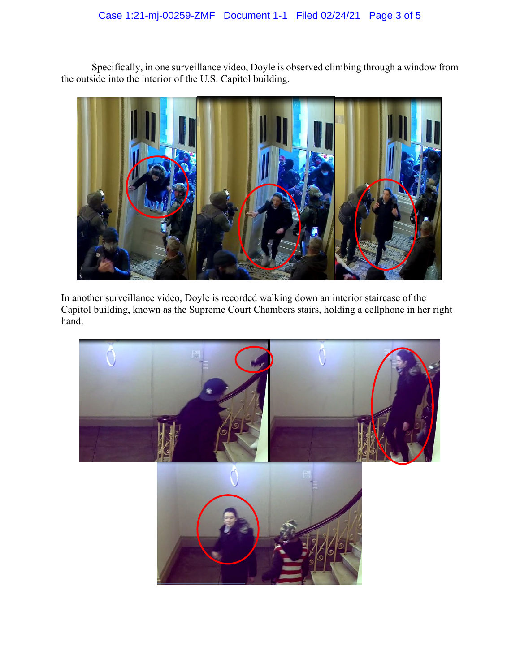## Case 1:21-mj-00259-ZMF Document 1-1 Filed 02/24/21 Page 3 of 5

Specifically, in one surveillance video, Doyle is observed climbing through a window from the outside into the interior of the U.S. Capitol building.



In another surveillance video, Doyle is recorded walking down an interior staircase of the Capitol building, known as the Supreme Court Chambers stairs, holding a cellphone in her right hand.

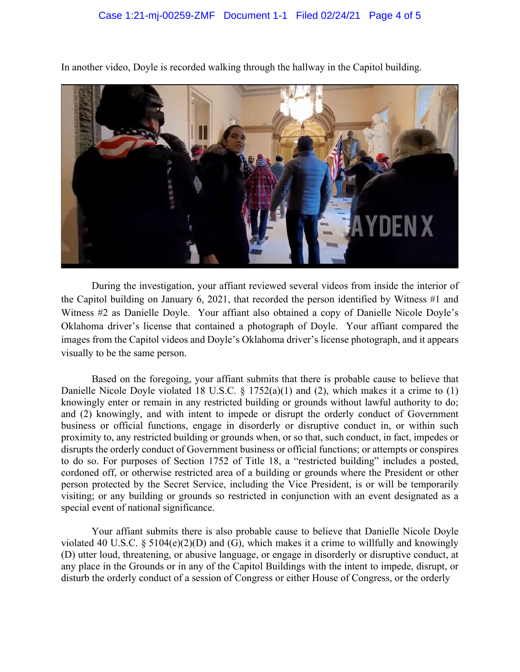

In another video, Doyle is recorded walking through the hallway in the Capitol building.

During the investigation, your affiant reviewed several videos from inside the interior of the Capitol building on January 6, 2021, that recorded the person identified by Witness #1 and Witness #2 as Danielle Doyle. Your affiant also obtained a copy of Danielle Nicole Doyle's Oklahoma driver's license that contained a photograph of Doyle. Your affiant compared the images from the Capitol videos and Doyle's Oklahoma driver's license photograph, and it appears visually to be the same person.

Based on the foregoing, your affiant submits that there is probable cause to believe that Danielle Nicole Doyle violated 18 U.S.C. § 1752(a)(1) and (2), which makes it a crime to (1) knowingly enter or remain in any restricted building or grounds without lawful authority to do; and (2) knowingly, and with intent to impede or disrupt the orderly conduct of Government business or official functions, engage in disorderly or disruptive conduct in, or within such proximity to, any restricted building or grounds when, or so that, such conduct, in fact, impedes or disrupts the orderly conduct of Government business or official functions; or attempts or conspires to do so. For purposes of Section 1752 of Title 18, a "restricted building" includes a posted, cordoned off, or otherwise restricted area of a building or grounds where the President or other person protected by the Secret Service, including the Vice President, is or will be temporarily visiting; or any building or grounds so restricted in conjunction with an event designated as a special event of national significance.

Your affiant submits there is also probable cause to believe that Danielle Nicole Doyle violated 40 U.S.C. § 5104 $(e)(2)(D)$  and  $(G)$ , which makes it a crime to willfully and knowingly (D) utter loud, threatening, or abusive language, or engage in disorderly or disruptive conduct, at any place in the Grounds or in any of the Capitol Buildings with the intent to impede, disrupt, or disturb the orderly conduct of a session of Congress or either House of Congress, or the orderly